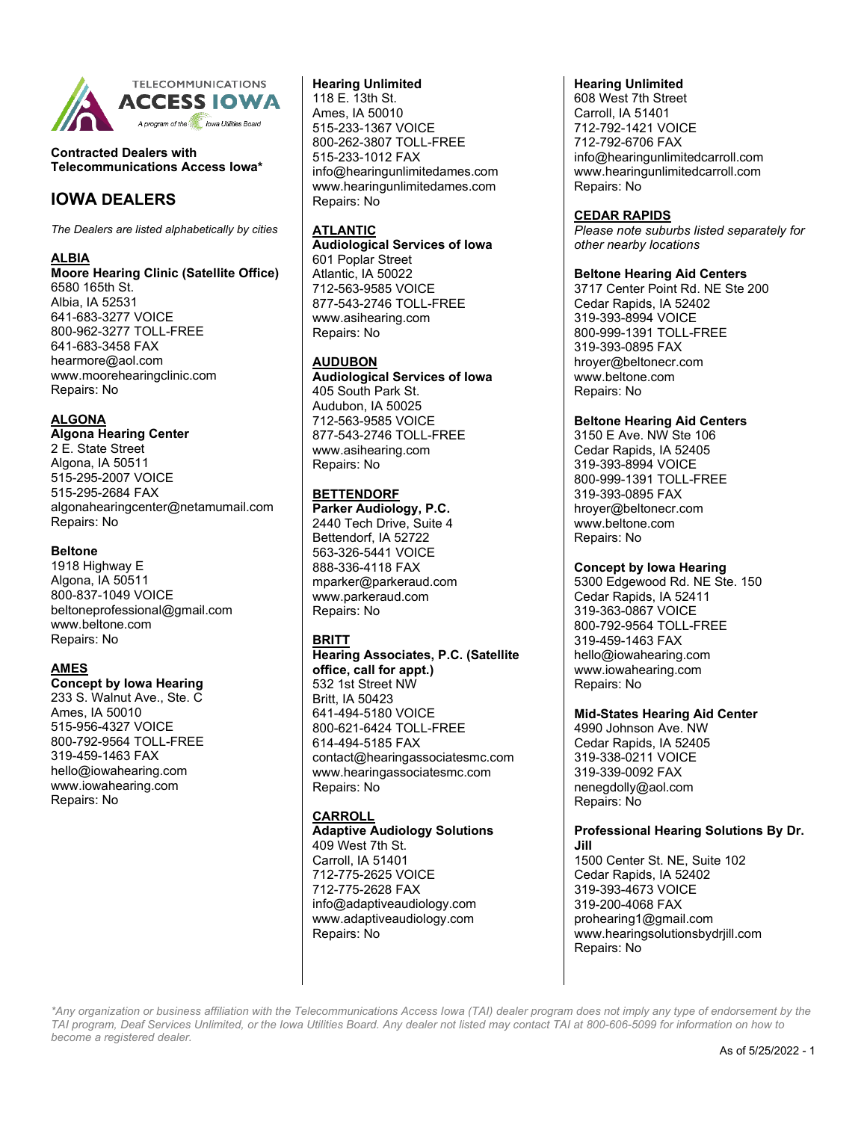

**Contracted Dealers with Telecommunications Access Iowa\***

# **IOWA DEALERS**

*The Dealers are listed alphabetically by cities*

## **ALBIA**

**Moore Hearing Clinic (Satellite Office)** 6580 165th St. Albia, IA 52531 641-683-3277 VOICE 800-962-3277 TOLL-FREE 641-683-3458 FAX hearmore@aol.com www.moorehearingclinic.com Repairs: No

## **ALGONA**

**Algona Hearing Center** 2 E. State Street Algona, IA 50511 515-295-2007 VOICE 515-295-2684 FAX algonahearingcenter@netamumail.com Repairs: No

### **Beltone**

1918 Highway E Algona, IA 50511 800-837-1049 VOICE beltoneprofessional@gmail.com www.beltone.com Repairs: No

### **AMES**

### **Concept by Iowa Hearing**

233 S. Walnut Ave., Ste. C Ames, IA 50010 515-956-4327 VOICE 800-792-9564 TOLL-FREE 319-459-1463 FAX hello@iowahearing.com www.iowahearing.com Repairs: No

#### **Hearing Unlimited**

118 E. 13th St. Ames, IA 50010 515-233-1367 VOICE 800-262-3807 TOLL-FREE 515-233-1012 FAX info@hearingunlimitedames.com www.hearingunlimitedames.com Repairs: No

## **ATLANTIC**

**Audiological Services of Iowa** 601 Poplar Street Atlantic, IA 50022 712-563-9585 VOICE 877-543-2746 TOLL-FREE www.asihearing.com Repairs: No

### **AUDUBON**

**Audiological Services of Iowa** 405 South Park St. Audubon, IA 50025

712-563-9585 VOICE 877-543-2746 TOLL-FREE www.asihearing.com Repairs: No

## **BETTENDORF**

**Parker Audiology, P.C.** 2440 Tech Drive, Suite 4 Bettendorf, IA 52722 563-326-5441 VOICE 888-336-4118 FAX mparker@parkeraud.com www.parkeraud.com Repairs: No

### **BRITT**

#### **Hearing Associates, P.C. (Satellite office, call for appt.)** 532 1st Street NW Britt, IA 50423 641-494-5180 VOICE

800-621-6424 TOLL-FREE 614-494-5185 FAX contact@hearingassociatesmc.com www.hearingassociatesmc.com Repairs: No

### **CARROLL**

**Adaptive Audiology Solutions** 409 West 7th St. Carroll, IA 51401 712-775-2625 VOICE 712-775-2628 FAX info@adaptiveaudiology.com www.adaptiveaudiology.com Repairs: No

#### **Hearing Unlimited**

608 West 7th Street Carroll, IA 51401 712-792-1421 VOICE 712-792-6706 FAX info@hearingunlimitedcarroll.com www.hearingunlimitedcarroll.com Repairs: No

#### **CEDAR RAPIDS**

*Please note suburbs listed separately for other nearby locations*

#### **Beltone Hearing Aid Centers**

3717 Center Point Rd. NE Ste 200 Cedar Rapids, IA 52402 319-393-8994 VOICE 800-999-1391 TOLL-FREE 319-393-0895 FAX hroyer@beltonecr.com www.beltone.com Repairs: No

#### **Beltone Hearing Aid Centers**

3150 E Ave. NW Ste 106 Cedar Rapids, IA 52405 319-393-8994 VOICE 800-999-1391 TOLL-FREE 319-393-0895 FAX hroyer@beltonecr.com www.beltone.com Repairs: No

#### **Concept by Iowa Hearing**

5300 Edgewood Rd. NE Ste. 150 Cedar Rapids, IA 52411 319-363-0867 VOICE 800-792-9564 TOLL-FREE 319-459-1463 FAX hello@iowahearing.com www.iowahearing.com Repairs: No

### **Mid-States Hearing Aid Center**

4990 Johnson Ave. NW Cedar Rapids, IA 52405 319-338-0211 VOICE 319-339-0092 FAX nenegdolly@aol.com Repairs: No

#### **Professional Hearing Solutions By Dr. Jill**

1500 Center St. NE, Suite 102 Cedar Rapids, IA 52402 319-393-4673 VOICE 319-200-4068 FAX prohearing1@gmail.com www.hearingsolutionsbydrjill.com Repairs: No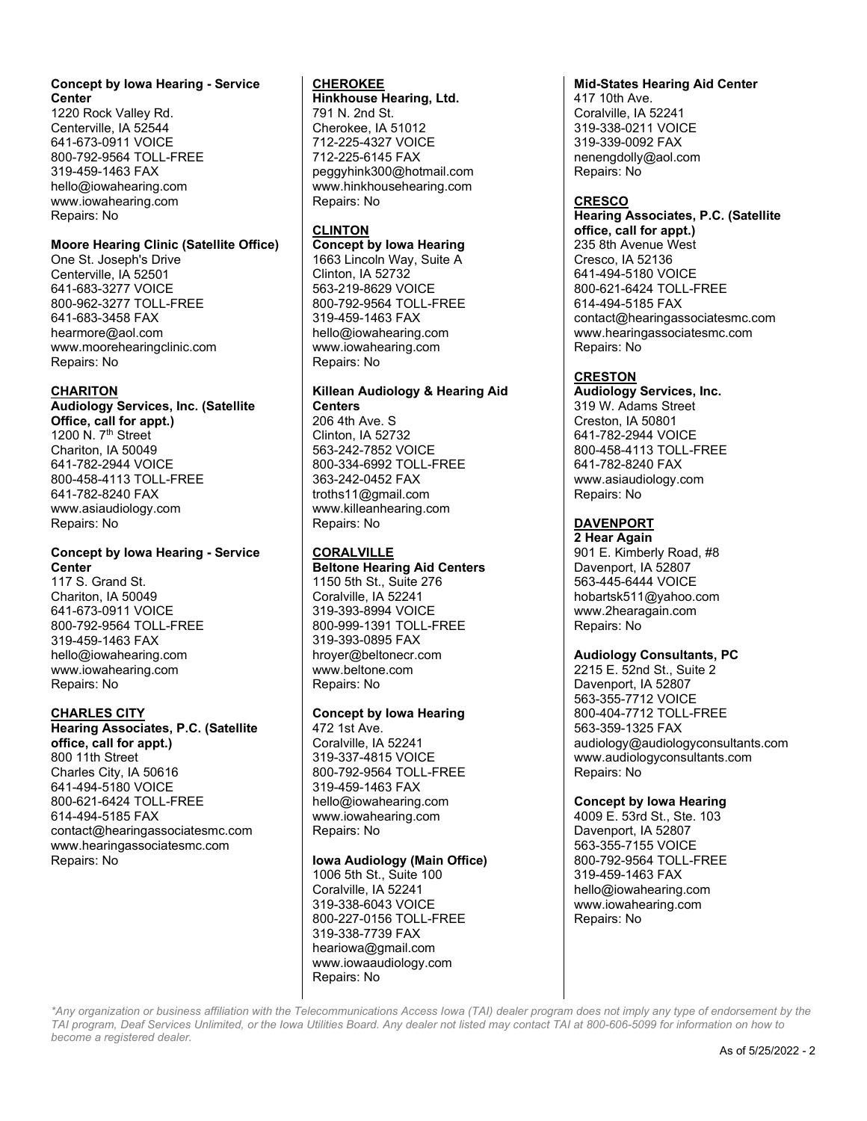#### **Concept by Iowa Hearing - Service Center**

1220 Rock Valley Rd. Centerville, IA 52544 641-673-0911 VOICE 800-792-9564 TOLL-FREE 319-459-1463 FAX hello@iowahearing.com www.iowahearing.com Repairs: No

#### **Moore Hearing Clinic (Satellite Office)**

One St. Joseph's Drive Centerville, IA 52501 641-683-3277 VOICE 800-962-3277 TOLL-FREE 641-683-3458 FAX hearmore@aol.com www.moorehearingclinic.com Repairs: No

#### **CHARITON**

**Audiology Services, Inc. (Satellite Office, call for appt.)** 1200 N. 7<sup>th</sup> Street Chariton, IA 50049 641-782-2944 VOICE 800-458-4113 TOLL-FREE 641-782-8240 FAX www.asiaudiology.com Repairs: No

#### **Concept by Iowa Hearing - Service Center**

117 S. Grand St. Chariton, IA 50049 641-673-0911 VOICE 800-792-9564 TOLL-FREE 319-459-1463 FAX hello@iowahearing.com www.iowahearing.com Repairs: No

### **CHARLES CITY**

**Hearing Associates, P.C. (Satellite office, call for appt.)** 800 11th Street Charles City, IA 50616 641-494-5180 VOICE 800-621-6424 TOLL-FREE 614-494-5185 FAX contact@hearingassociatesmc.com www.hearingassociatesmc.com Repairs: No

# **CHEROKEE**

**Hinkhouse Hearing, Ltd.** 791 N. 2nd St. Cherokee, IA 51012 712-225-4327 VOICE 712-225-6145 FAX peggyhink300@hotmail.com www.hinkhousehearing.com Repairs: No

## **CLINTON**

**Concept by Iowa Hearing** 1663 Lincoln Way, Suite A Clinton, IA 52732 563-219-8629 VOICE 800-792-9564 TOLL-FREE 319-459-1463 FAX hello@iowahearing.com www.iowahearing.com Repairs: No

#### **Killean Audiology & Hearing Aid Centers**

206 4th Ave. S Clinton, IA 52732 563-242-7852 VOICE 800-334-6992 TOLL-FREE 363-242-0452 FAX troths11@gmail.com www.killeanhearing.com Repairs: No

## **CORALVILLE**

**Beltone Hearing Aid Centers** 1150 5th St., Suite 276 Coralville, IA 52241 319-393-8994 VOICE 800-999-1391 TOLL-FREE 319-393-0895 FAX hroyer@beltonecr.com www.beltone.com Repairs: No

### **Concept by Iowa Hearing**

472 1st Ave. Coralville, IA 52241 319-337-4815 VOICE 800-792-9564 TOLL-FREE 319-459-1463 FAX hello@iowahearing.com www.iowahearing.com Repairs: No

### **Iowa Audiology (Main Office)**

1006 5th St., Suite 100 Coralville, IA 52241 319-338-6043 VOICE 800-227-0156 TOLL-FREE 319-338-7739 FAX heariowa@gmail.com www.iowaaudiology.com Repairs: No

#### **Mid-States Hearing Aid Center**

417 10th Ave. Coralville, IA 52241 319-338-0211 VOICE 319-339-0092 FAX nenengdolly@aol.com Repairs: No

#### **CRESCO**

**Hearing Associates, P.C. (Satellite office, call for appt.)** 235 8th Avenue West Cresco, IA 52136 641-494-5180 VOICE 800-621-6424 TOLL-FREE 614-494-5185 FAX contact@hearingassociatesmc.com www.hearingassociatesmc.com Repairs: No

## **CRESTON**

**Audiology Services, Inc.** 319 W. Adams Street Creston, IA 50801 641-782-2944 VOICE 800-458-4113 TOLL-FREE 641-782-8240 FAX www.asiaudiology.com Repairs: No

## **DAVENPORT**

**2 Hear Again** 901 E. Kimberly Road, #8 Davenport, IA 52807 563-445-6444 VOICE hobartsk511@yahoo.com www.2hearagain.com Repairs: No

### **Audiology Consultants, PC**

2215 E. 52nd St., Suite 2 Davenport, IA 52807 563-355-7712 VOICE 800-404-7712 TOLL-FREE 563-359-1325 FAX audiology@audiologyconsultants.com www.audiologyconsultants.com Repairs: No

### **Concept by Iowa Hearing**

4009 E. 53rd St., Ste. 103 Davenport, IA 52807 563-355-7155 VOICE 800-792-9564 TOLL-FREE 319-459-1463 FAX hello@iowahearing.com www.iowahearing.com Repairs: No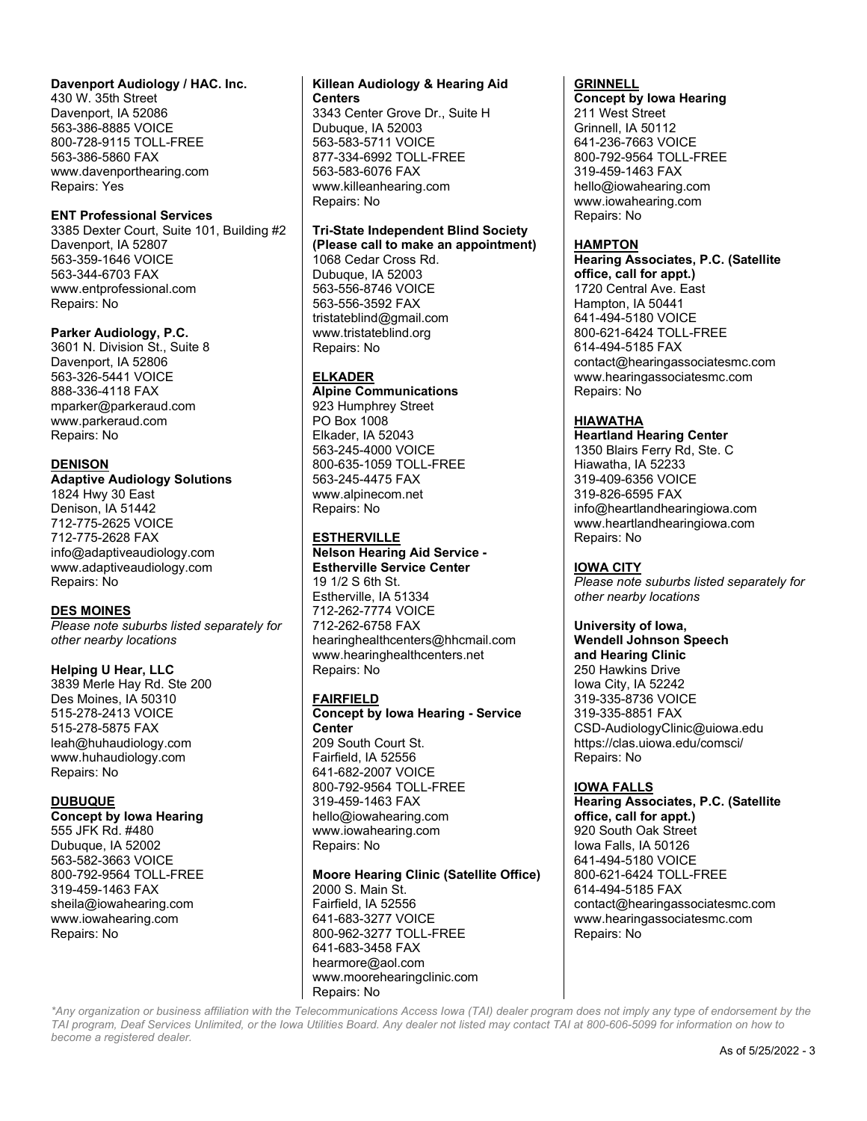#### **Davenport Audiology / HAC. Inc.**

430 W. 35th Street Davenport, IA 52086 563-386-8885 VOICE 800-728-9115 TOLL-FREE 563-386-5860 FAX www.davenporthearing.com Repairs: Yes

#### **ENT Professional Services**

3385 Dexter Court, Suite 101, Building #2 Davenport, IA 52807 563-359-1646 VOICE 563-344-6703 FAX www.entprofessional.com Repairs: No

## **Parker Audiology, P.C.**

3601 N. Division St., Suite 8 Davenport, IA 52806 563-326-5441 VOICE 888-336-4118 FAX mparker@parkeraud.com www.parkeraud.com Repairs: No

### **DENISON**

**Adaptive Audiology Solutions** 1824 Hwy 30 East Denison, IA 51442 712-775-2625 VOICE 712-775-2628 FAX info@adaptiveaudiology.com www.adaptiveaudiology.com Repairs: No

## **DES MOINES**

*Please note suburbs listed separately for other nearby locations*

### **Helping U Hear, LLC**

3839 Merle Hay Rd. Ste 200 Des Moines, IA 50310 515-278-2413 VOICE 515-278-5875 FAX leah@huhaudiology.com www.huhaudiology.com Repairs: No

## **DUBUQUE**

**Concept by Iowa Hearing** 555 JFK Rd. #480 Dubuque, IA 52002 563-582-3663 VOICE 800-792-9564 TOLL-FREE 319-459-1463 FAX sheila@iowahearing.com www.iowahearing.com Repairs: No

#### **Killean Audiology & Hearing Aid Centers**

3343 Center Grove Dr., Suite H Dubuque, IA 52003 563-583-5711 VOICE 877-334-6992 TOLL-FREE 563-583-6076 FAX www.killeanhearing.com Repairs: No

#### **Tri-State Independent Blind Society (Please call to make an appointment)**

1068 Cedar Cross Rd. Dubuque, IA 52003 563-556-8746 VOICE 563-556-3592 FAX tristateblind@gmail.com www.tristateblind.org Repairs: No

## **ELKADER**

**Alpine Communications** 923 Humphrey Street PO Box 1008 Elkader, IA 52043 563-245-4000 VOICE 800-635-1059 TOLL-FREE 563-245-4475 FAX www.alpinecom.net Repairs: No

## **ESTHERVILLE**

**Nelson Hearing Aid Service - Estherville Service Center** 19 1/2 S 6th St. Estherville, IA 51334 712-262-7774 VOICE 712-262-6758 FAX hearinghealthcenters@hhcmail.com www.hearinghealthcenters.net Repairs: No

### **FAIRFIELD**

**Concept by Iowa Hearing - Service Center** 209 South Court St. Fairfield, IA 52556 641-682-2007 VOICE 800-792-9564 TOLL-FREE 319-459-1463 FAX hello@iowahearing.com www.iowahearing.com

Repairs: No

**Moore Hearing Clinic (Satellite Office)** 2000 S. Main St. Fairfield, IA 52556 641-683-3277 VOICE 800-962-3277 TOLL-FREE 641-683-3458 FAX hearmore@aol.com www.moorehearingclinic.com Repairs: No

#### **GRINNELL**

**Concept by Iowa Hearing** 211 West Street Grinnell, IA 50112 641-236-7663 VOICE 800-792-9564 TOLL-FREE 319-459-1463 FAX hello@iowahearing.com www.iowahearing.com Repairs: No

### **HAMPTON**

**Hearing Associates, P.C. (Satellite office, call for appt.)** 1720 Central Ave. East Hampton, IA 50441 641-494-5180 VOICE 800-621-6424 TOLL-FREE 614-494-5185 FAX contact@hearingassociatesmc.com www.hearingassociatesmc.com Repairs: No

## **HIAWATHA**

**Heartland Hearing Center** 1350 Blairs Ferry Rd, Ste. C Hiawatha, IA 52233 319-409-6356 VOICE 319-826-6595 FAX info@heartlandhearingiowa.com www.heartlandhearingiowa.com Repairs: No

## **IOWA CITY**

*Please note suburbs listed separately for other nearby locations*

### **University of Iowa,**

**Wendell Johnson Speech and Hearing Clinic** 250 Hawkins Drive Iowa City, IA 52242 319-335-8736 VOICE 319-335-8851 FAX CSD-AudiologyClinic@uiowa.edu https://clas.uiowa.edu/comsci/ Repairs: No

### **IOWA FALLS**

**Hearing Associates, P.C. (Satellite office, call for appt.)** 920 South Oak Street Iowa Falls, IA 50126 641-494-5180 VOICE 800-621-6424 TOLL-FREE 614-494-5185 FAX contact@hearingassociatesmc.com www.hearingassociatesmc.com Repairs: No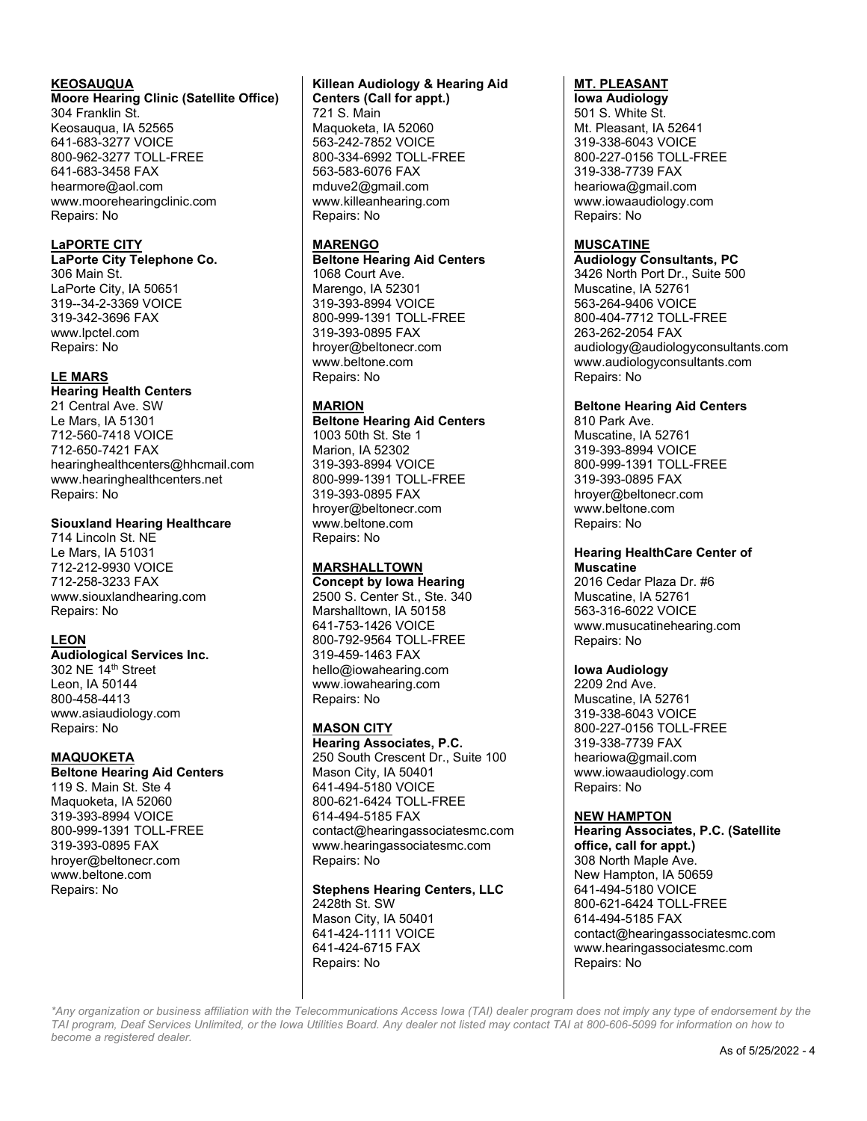#### **KEOSAUQUA**

## **Moore Hearing Clinic (Satellite Office)**

304 Franklin St. Keosauqua, IA 52565 641-683-3277 VOICE 800-962-3277 TOLL-FREE 641-683-3458 FAX hearmore@aol.com www.moorehearingclinic.com Repairs: No

#### **LaPORTE CITY**

**LaPorte City Telephone Co.** 306 Main St. LaPorte City, IA 50651 319--34-2-3369 VOICE 319-342-3696 FAX www.lpctel.com Repairs: No

## **LE MARS**

**Hearing Health Centers** 21 Central Ave. SW Le Mars, IA 51301 712-560-7418 VOICE 712-650-7421 FAX hearinghealthcenters@hhcmail.com www.hearinghealthcenters.net Repairs: No

#### **Siouxland Hearing Healthcare**

714 Lincoln St. NE Le Mars, IA 51031 712-212-9930 VOICE 712-258-3233 FAX www.siouxlandhearing.com Repairs: No

### **LEON**

**Audiological Services Inc.** 302 NE 14th Street Leon, IA 50144 800-458-4413 www.asiaudiology.com Repairs: No

### **MAQUOKETA**

#### **Beltone Hearing Aid Centers**

119 S. Main St. Ste 4 Maquoketa, IA 52060 319-393-8994 VOICE 800-999-1391 TOLL-FREE 319-393-0895 FAX hroyer@beltonecr.com www.beltone.com Repairs: No

#### **Killean Audiology & Hearing Aid Centers (Call for appt.)**

721 S. Main Maquoketa, IA 52060 563-242-7852 VOICE 800-334-6992 TOLL-FREE 563-583-6076 FAX mduve2@gmail.com www.killeanhearing.com Repairs: No

## **MARENGO**

## **Beltone Hearing Aid Centers**

1068 Court Ave. Marengo, IA 52301 319-393-8994 VOICE 800-999-1391 TOLL-FREE 319-393-0895 FAX hroyer@beltonecr.com www.beltone.com Repairs: No

### **MARION**

**Beltone Hearing Aid Centers** 1003 50th St. Ste 1 Marion, IA 52302 319-393-8994 VOICE 800-999-1391 TOLL-FREE 319-393-0895 FAX hroyer@beltonecr.com www.beltone.com Repairs: No

## **MARSHALLTOWN**

**Concept by Iowa Hearing** 2500 S. Center St., Ste. 340 Marshalltown, IA 50158 641-753-1426 VOICE 800-792-9564 TOLL-FREE 319-459-1463 FAX hello@iowahearing.com www.iowahearing.com Repairs: No

### **MASON CITY**

**Hearing Associates, P.C.** 250 South Crescent Dr., Suite 100 Mason City, IA 50401 641-494-5180 VOICE 800-621-6424 TOLL-FREE 614-494-5185 FAX contact@hearingassociatesmc.com www.hearingassociatesmc.com Repairs: No

## **Stephens Hearing Centers, LLC** 2428th St. SW Mason City, IA 50401

641-424-1111 VOICE 641-424-6715 FAX Repairs: No

## **MT. PLEASANT**

**Iowa Audiology** 501 S. White St. Mt. Pleasant, IA 52641 319-338-6043 VOICE 800-227-0156 TOLL-FREE 319-338-7739 FAX heariowa@gmail.com www.iowaaudiology.com Repairs: No

### **MUSCATINE**

**Audiology Consultants, PC** 3426 North Port Dr., Suite 500 Muscatine, IA 52761 563-264-9406 VOICE 800-404-7712 TOLL-FREE 263-262-2054 FAX audiology@audiologyconsultants.com www.audiologyconsultants.com Repairs: No

### **Beltone Hearing Aid Centers**

810 Park Ave. Muscatine, IA 52761 319-393-8994 VOICE 800-999-1391 TOLL-FREE 319-393-0895 FAX hroyer@beltonecr.com www.beltone.com Repairs: No

#### **Hearing HealthCare Center of Muscatine**

2016 Cedar Plaza Dr. #6 Muscatine, IA 52761 563-316-6022 VOICE www.musucatinehearing.com Repairs: No

#### **Iowa Audiology**

2209 2nd Ave. Muscatine, IA 52761 319-338-6043 VOICE 800-227-0156 TOLL-FREE 319-338-7739 FAX heariowa@gmail.com www.iowaaudiology.com Repairs: No

#### **NEW HAMPTON**

**Hearing Associates, P.C. (Satellite office, call for appt.)** 308 North Maple Ave. New Hampton, IA 50659 641-494-5180 VOICE 800-621-6424 TOLL-FREE 614-494-5185 FAX contact@hearingassociatesmc.com www.hearingassociatesmc.com Repairs: No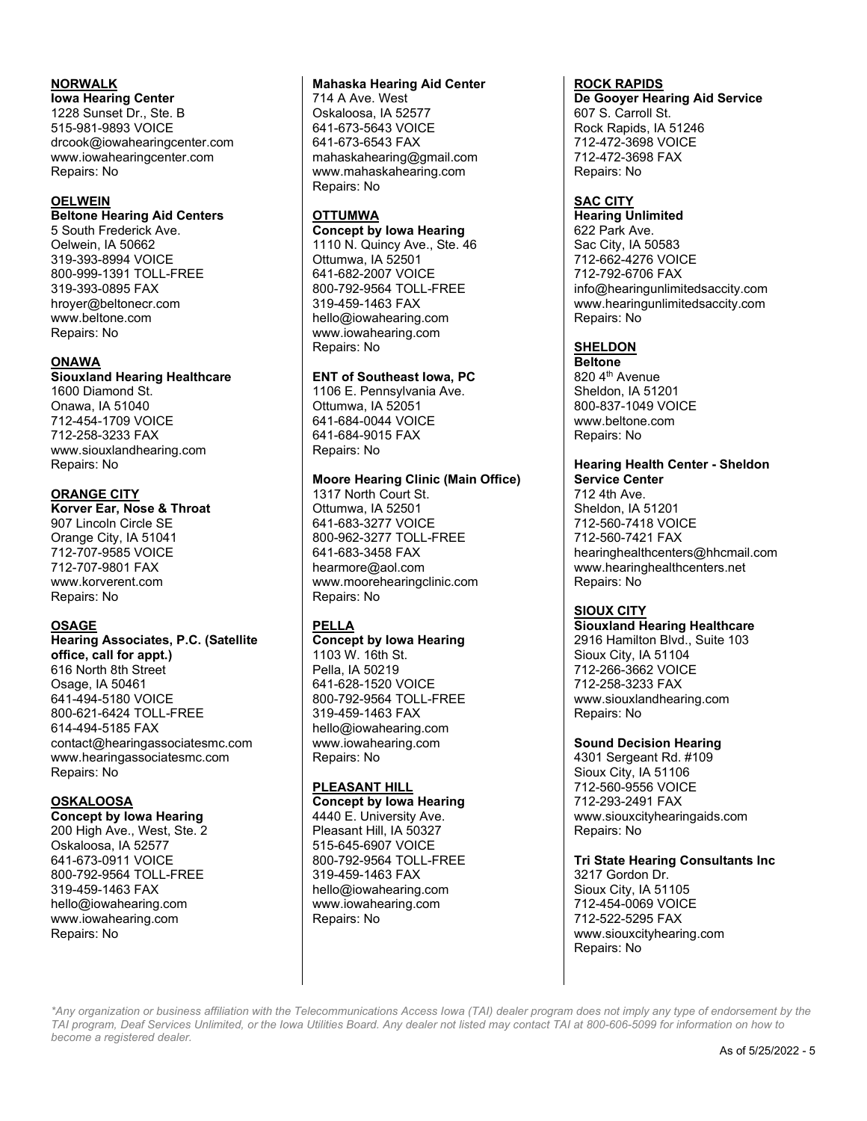## **NORWALK**

**Iowa Hearing Center** 1228 Sunset Dr., Ste. B 515-981-9893 VOICE drcook@iowahearingcenter.com www.iowahearingcenter.com Repairs: No

#### **OELWEIN**

#### **Beltone Hearing Aid Centers**

5 South Frederick Ave. Oelwein, IA 50662 319-393-8994 VOICE 800-999-1391 TOLL-FREE 319-393-0895 FAX hroyer@beltonecr.com www.beltone.com Repairs: No

## **ONAWA**

#### **Siouxland Hearing Healthcare**

1600 Diamond St. Onawa, IA 51040 712-454-1709 VOICE 712-258-3233 FAX www.siouxlandhearing.com Repairs: No

### **ORANGE CITY**

**Korver Ear, Nose & Throat** 907 Lincoln Circle SE Orange City, IA 51041 712-707-9585 VOICE 712-707-9801 FAX www.korverent.com Repairs: No

### **OSAGE**

**Hearing Associates, P.C. (Satellite office, call for appt.)** 616 North 8th Street Osage, IA 50461 641-494-5180 VOICE 800-621-6424 TOLL-FREE 614-494-5185 FAX contact@hearingassociatesmc.com www.hearingassociatesmc.com Repairs: No

### **OSKALOOSA**

**Concept by Iowa Hearing** 200 High Ave., West, Ste. 2 Oskaloosa, IA 52577 641-673-0911 VOICE 800-792-9564 TOLL-FREE 319-459-1463 FAX hello@iowahearing.com www.iowahearing.com Repairs: No

#### **Mahaska Hearing Aid Center**

714 A Ave. West Oskaloosa, IA 52577 641-673-5643 VOICE 641-673-6543 FAX mahaskahearing@gmail.com www.mahaskahearing.com Repairs: No

#### **OTTUMWA**

**Concept by Iowa Hearing** 1110 N. Quincy Ave., Ste. 46 Ottumwa, IA 52501 641-682-2007 VOICE 800-792-9564 TOLL-FREE 319-459-1463 FAX hello@iowahearing.com www.iowahearing.com Repairs: No

#### **ENT of Southeast Iowa, PC**

1106 E. Pennsylvania Ave. Ottumwa, IA 52051 641-684-0044 VOICE 641-684-9015 FAX Repairs: No

#### **Moore Hearing Clinic (Main Office)**

1317 North Court St. Ottumwa, IA 52501 641-683-3277 VOICE 800-962-3277 TOLL-FREE 641-683-3458 FAX hearmore@aol.com www.moorehearingclinic.com Repairs: No

## **PELLA**

#### **Concept by Iowa Hearing** 1103 W. 16th St.

Pella, IA 50219 641-628-1520 VOICE 800-792-9564 TOLL-FREE 319-459-1463 FAX hello@iowahearing.com www.iowahearing.com Repairs: No

### **PLEASANT HILL**

**Concept by Iowa Hearing** 4440 E. University Ave. Pleasant Hill, IA 50327 515-645-6907 VOICE 800-792-9564 TOLL-FREE 319-459-1463 FAX hello@iowahearing.com www.iowahearing.com Repairs: No

#### **ROCK RAPIDS**

**De Gooyer Hearing Aid Service** 607 S. Carroll St. Rock Rapids, IA 51246 712-472-3698 VOICE 712-472-3698 FAX Repairs: No

#### **SAC CITY**

**Hearing Unlimited** 622 Park Ave. Sac City, IA 50583 712-662-4276 VOICE 712-792-6706 FAX info@hearingunlimitedsaccity.com www.hearingunlimitedsaccity.com Repairs: No

### **SHELDON**

**Beltone** 820 4<sup>th</sup> Avenue Sheldon, IA 51201 800-837-1049 VOICE www.beltone.com Repairs: No

#### **Hearing Health Center - Sheldon Service Center**

712 4th Ave. Sheldon, IA 51201 712-560-7418 VOICE 712-560-7421 FAX hearinghealthcenters@hhcmail.com www.hearinghealthcenters.net Repairs: No

### **SIOUX CITY**

**Siouxland Hearing Healthcare** 2916 Hamilton Blvd., Suite 103 Sioux City, IA 51104 712-266-3662 VOICE 712-258-3233 FAX www.siouxlandhearing.com Repairs: No

#### **Sound Decision Hearing**

4301 Sergeant Rd. #109 Sioux City, IA 51106 712-560-9556 VOICE 712-293-2491 FAX www.siouxcityhearingaids.com Repairs: No

### **Tri State Hearing Consultants Inc**

3217 Gordon Dr. Sioux City, IA 51105 712-454-0069 VOICE 712-522-5295 FAX www.siouxcityhearing.com Repairs: No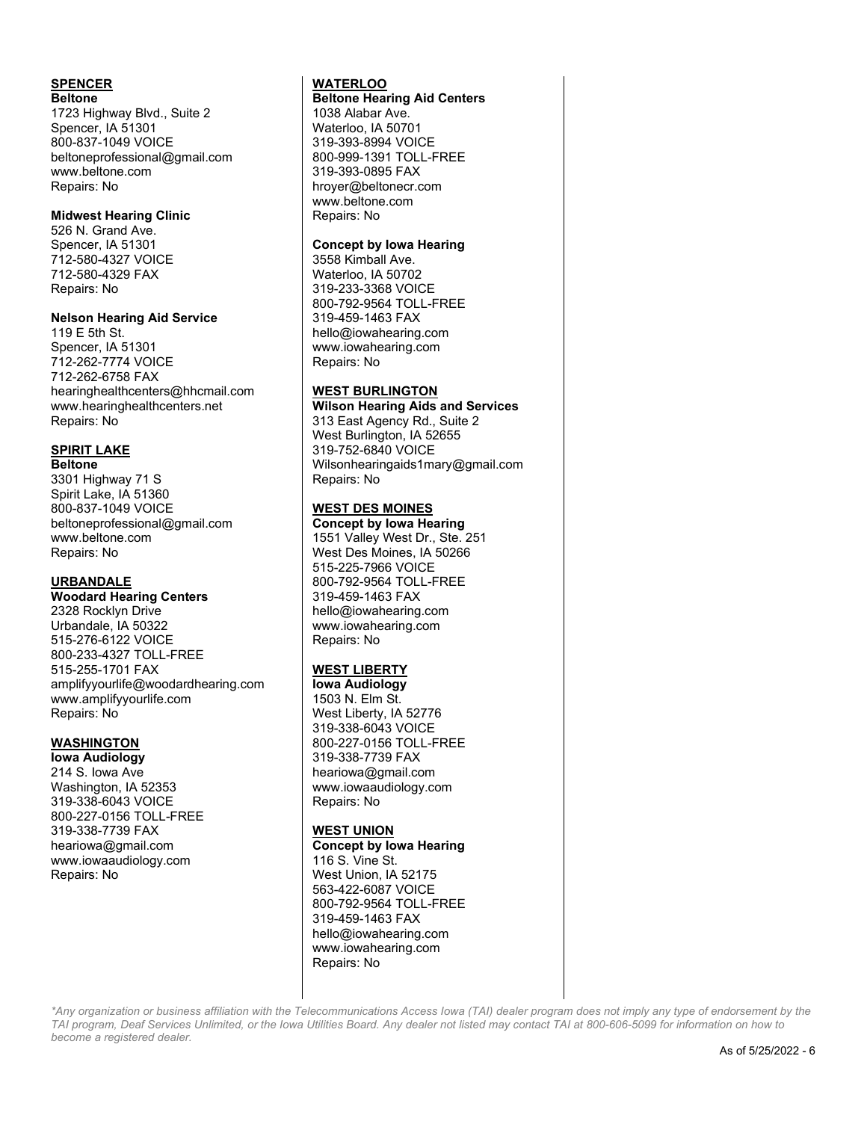## **SPENCER**

**Beltone**

1723 Highway Blvd., Suite 2 Spencer, IA 51301 800-837-1049 VOICE beltoneprofessional@gmail.com www.beltone.com Repairs: No

#### **Midwest Hearing Clinic**

526 N. Grand Ave. Spencer, IA 51301 712-580-4327 VOICE 712-580-4329 FAX Repairs: No

#### **Nelson Hearing Aid Service**

119 E 5th St. Spencer, IA 51301 712-262-7774 VOICE 712-262-6758 FAX hearinghealthcenters@hhcmail.com www.hearinghealthcenters.net Repairs: No

#### **SPIRIT LAKE**

**Beltone**

3301 Highway 71 S Spirit Lake, IA 51360 800-837-1049 VOICE beltoneprofessional@gmail.com www.beltone.com Repairs: No

#### **URBANDALE**

**Woodard Hearing Centers** 2328 Rocklyn Drive Urbandale, IA 50322 515-276-6122 VOICE 800-233-4327 TOLL-FREE 515-255-1701 FAX amplifyyourlife@woodardhearing.com www.amplifyyourlife.com Repairs: No

### **WASHINGTON**

**Iowa Audiology** 214 S. Iowa Ave Washington, IA 52353

319-338-6043 VOICE 800-227-0156 TOLL-FREE 319-338-7739 FAX heariowa@gmail.com www.iowaaudiology.com Repairs: No

#### **WATERLOO**

**Beltone Hearing Aid Centers** 1038 Alabar Ave. Waterloo, IA 50701 319-393-8994 VOICE 800-999-1391 TOLL-FREE 319-393-0895 FAX hroyer@beltonecr.com www.beltone.com Repairs: No

#### **Concept by Iowa Hearing**

3558 Kimball Ave. Waterloo, IA 50702 319-233-3368 VOICE 800-792-9564 TOLL-FREE 319-459-1463 FAX hello@iowahearing.com www.iowahearing.com Repairs: No

#### **WEST BURLINGTON**

**Wilson Hearing Aids and Services** 313 East Agency Rd., Suite 2 West Burlington, IA 52655 319-752-6840 VOICE Wilsonhearingaids1mary@gmail.com Repairs: No

## **WEST DES MOINES**

**Concept by Iowa Hearing** 1551 Valley West Dr., Ste. 251 West Des Moines, IA 50266 515-225-7966 VOICE 800-792-9564 TOLL-FREE 319-459-1463 FAX hello@iowahearing.com www.iowahearing.com Repairs: No

### **WEST LIBERTY**

**Iowa Audiology** 1503 N. Elm St. West Liberty, IA 52776 319-338-6043 VOICE 800-227-0156 TOLL-FREE 319-338-7739 FAX heariowa@gmail.com www.iowaaudiology.com Repairs: No

#### **WEST UNION**

**Concept by Iowa Hearing** 116 S. Vine St. West Union, IA 52175 563-422-6087 VOICE 800-792-9564 TOLL-FREE 319-459-1463 FAX hello@iowahearing.com www.iowahearing.com Repairs: No